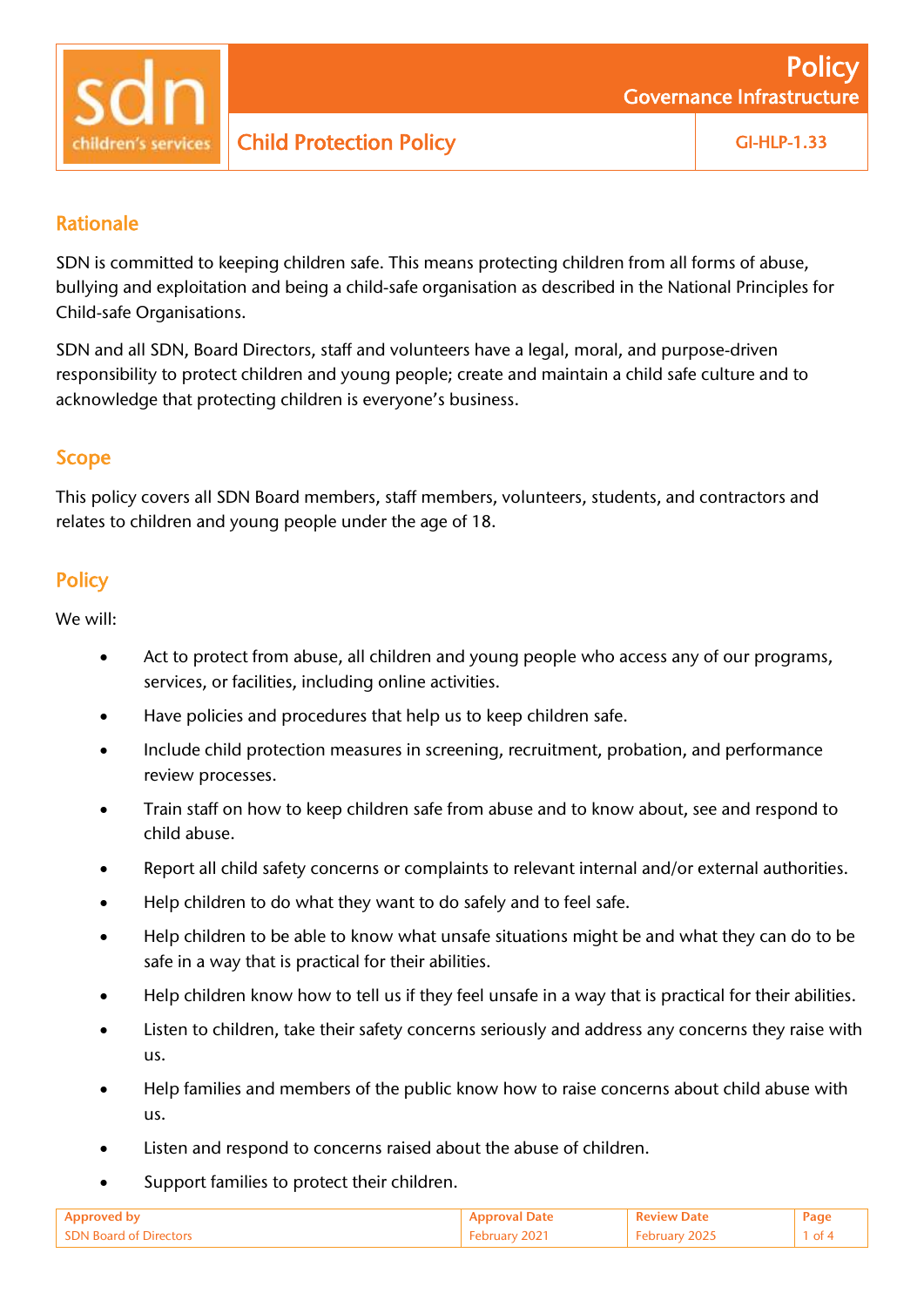

# Child Protection Policy **GI-HLP-1.33**

## Rationale

SDN is committed to keeping children safe. This means protecting children from all forms of abuse, bullying and exploitation and being a child-safe organisation as described in the National Principles for Child-safe Organisations.

SDN and all SDN, Board Directors, staff and volunteers have a legal, moral, and purpose-driven responsibility to protect children and young people; create and maintain a child safe culture and to acknowledge that protecting children is everyone's business.

### Scope

This policy covers all SDN Board members, staff members, volunteers, students, and contractors and relates to children and young people under the age of 18.

# **Policy**

We will:

- Act to protect from abuse, all children and young people who access any of our programs, services, or facilities, including online activities.
- Have policies and procedures that help us to keep children safe.
- Include child protection measures in screening, recruitment, probation, and performance review processes.
- Train staff on how to keep children safe from abuse and to know about, see and respond to child abuse.
- Report all child safety concerns or complaints to relevant internal and/or external authorities.
- Help children to do what they want to do safely and to feel safe.
- Help children to be able to know what unsafe situations might be and what they can do to be safe in a way that is practical for their abilities.
- Help children know how to tell us if they feel unsafe in a way that is practical for their abilities.
- Listen to children, take their safety concerns seriously and address any concerns they raise with us.
- Help families and members of the public know how to raise concerns about child abuse with us.
- Listen and respond to concerns raised about the abuse of children.
- Support families to protect their children.

| - SDN Roard of  |  | of |
|-----------------|--|----|
| . a Directors - |  |    |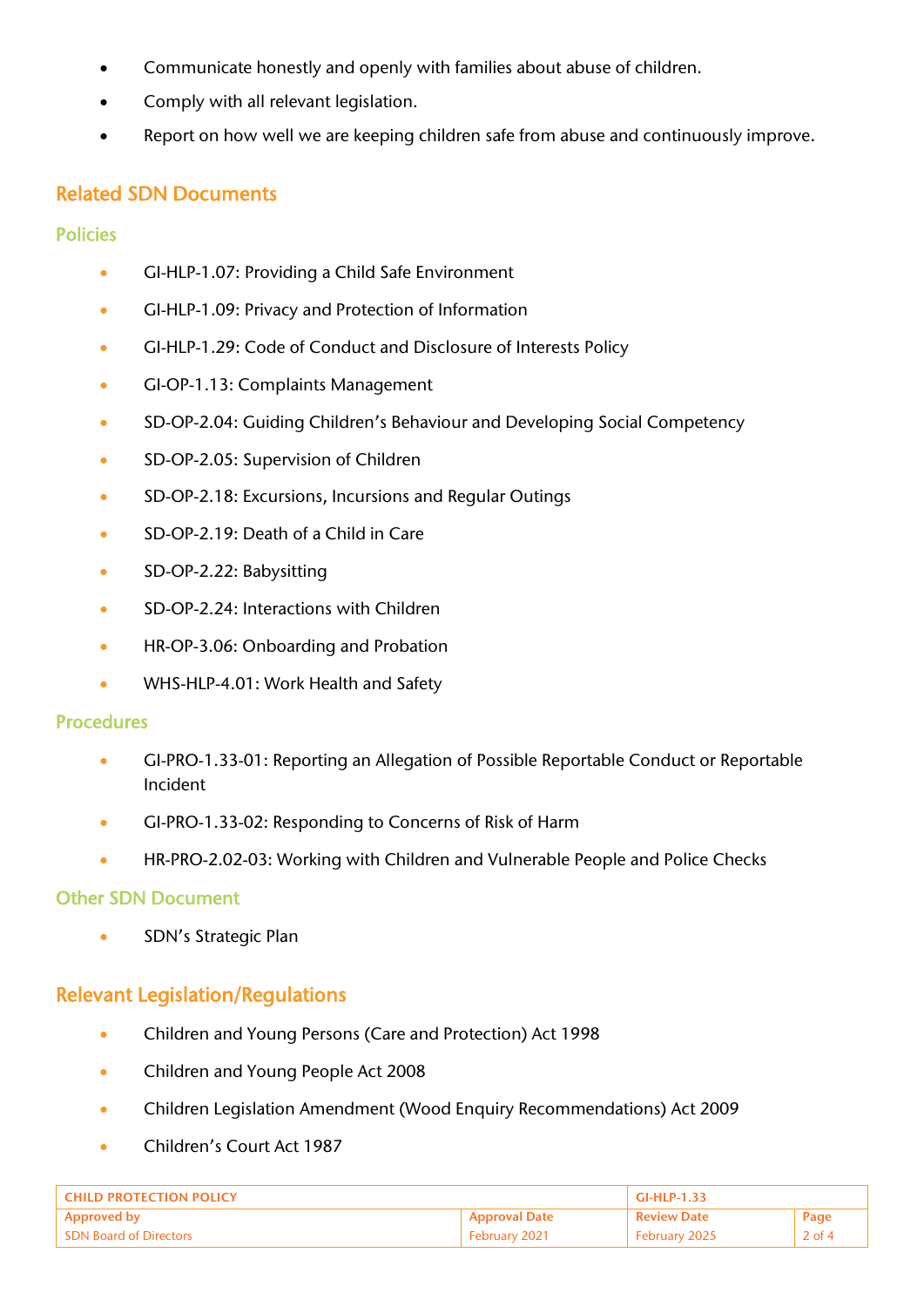- Communicate honestly and openly with families about abuse of children.
- Comply with all relevant legislation.
- Report on how well we are keeping children safe from abuse and continuously improve.

## Related SDN Documents

#### **Policies**

- GI-HLP-1.07: Providing a Child Safe Environment
- GI-HLP-1.09: Privacy and Protection of Information
- GI-HLP-1.29: [Code of Conduct and Disclosure of Interests Policy](https://intranet.sdn.org.au/wp-content/uploads/2020/12/GI-HLP-1.29-Code-of-Conduct-and-Disclosure-of-Interests-Policy-Dec-2020.pdf)
- GI-OP-1.13: Complaints Management
- SD-OP-2.04: Guiding Children's Behaviour and Developing Social Competency
- SD-OP-2.05: Supervision of Children
- SD-OP-2.18: Excursions, Incursions and Regular Outings
- SD-OP-2.19: Death of a Child in Care
- SD-OP-2.22: Babysitting
- SD-OP-2.24: Interactions with Children
- HR-OP-3.06: Onboarding and Probation
- WHS-HLP-4.01: Work Health and Safety

#### Procedures

- GI-PRO-1.33-01: Reporting an Allegation of Possible Reportable Conduct or Reportable Incident
- GI-PRO-1.33-02: Responding to Concerns of Risk of Harm
- HR-PRO-2.02-03: Working with Children and Vulnerable People and Police Checks

#### Other SDN Document

• SDN's Strategic Plan

# Relevant Legislation/Regulations

- Children and Young Persons (Care and Protection) Act 1998
- Children and Young People Act 2008
- Children Legislation Amendment (Wood Enquiry Recommendations) Act 2009
- Children's Court Act 1987

| <b>CHILD PROTECTION POLICY</b> |                      | $GI-HLP-1.33$      |          |
|--------------------------------|----------------------|--------------------|----------|
| <b>Approved by</b>             | <b>Approval Date</b> | <b>Review Date</b> | Page     |
| <b>SDN Board of Directors</b>  | February 2021        | February 2025      | $2$ of 4 |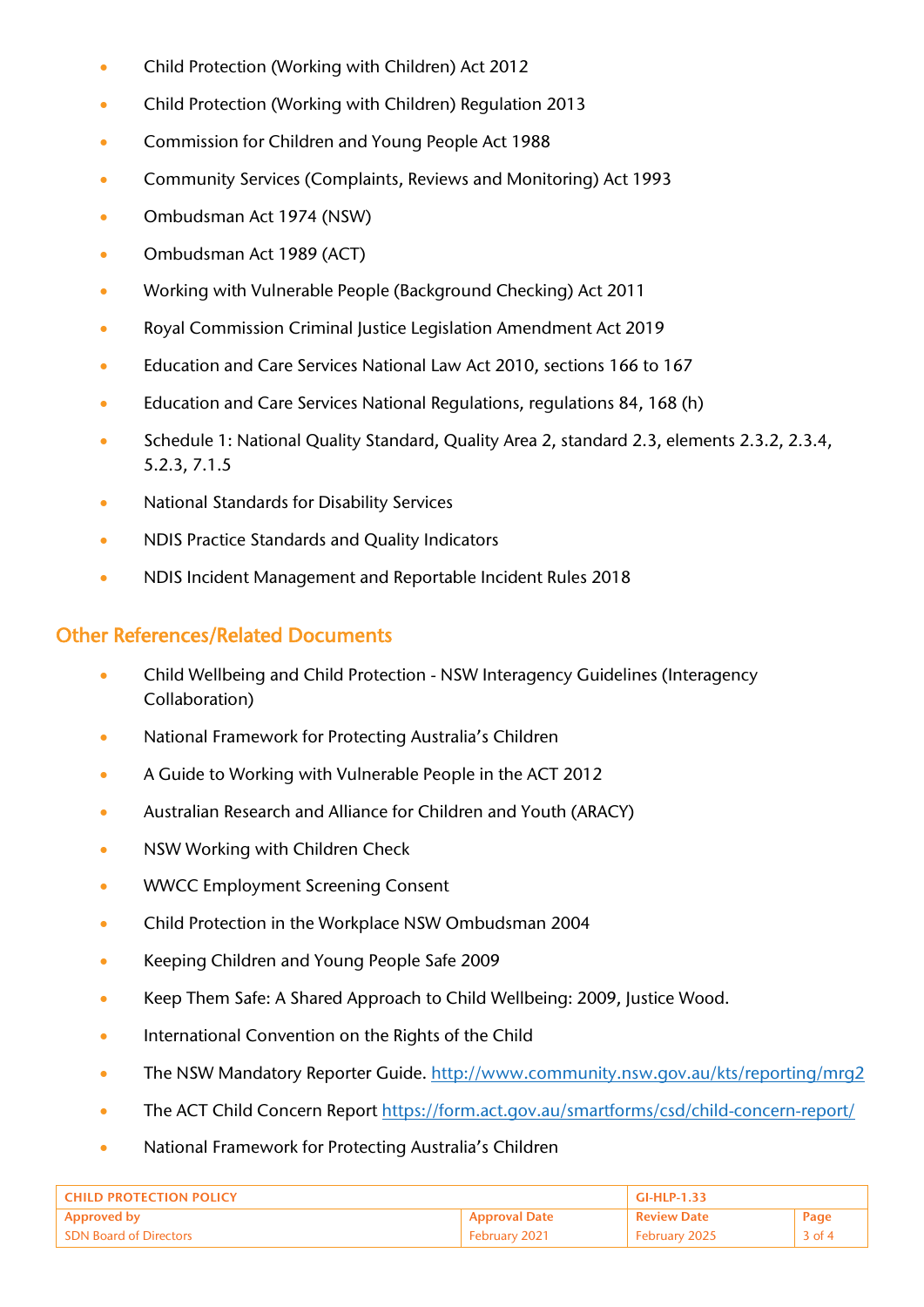- Child Protection (Working with Children) Act 2012
- Child Protection (Working with Children) Regulation 2013
- Commission for Children and Young People Act 1988
- Community Services (Complaints, Reviews and Monitoring) Act 1993
- Ombudsman Act 1974 (NSW)
- Ombudsman Act 1989 (ACT)
- Working with Vulnerable People (Background Checking) Act 2011
- Royal Commission Criminal Justice Legislation Amendment Act 2019
- Education and Care Services National Law Act 2010, sections 166 to 167
- Education and Care Services National Regulations, regulations 84, 168 (h)
- Schedule 1: National Quality Standard, Quality Area 2, standard 2.3, elements 2.3.2, 2.3.4, 5.2.3, 7.1.5
- National Standards for Disability Services
- NDIS Practice Standards and Quality Indicators
- NDIS Incident Management and Reportable Incident Rules 2018

### Other References/Related Documents

- Child Wellbeing and Child Protection NSW Interagency Guidelines (Interagency Collaboration)
- National Framework for Protecting Australia's Children
- A Guide to Working with Vulnerable People in the ACT 2012
- Australian Research and Alliance for Children and Youth (ARACY)
- NSW Working with Children Check
- WWCC Employment Screening Consent
- Child Protection in the Workplace NSW Ombudsman 2004
- Keeping Children and Young People Safe 2009
- Keep Them Safe: A Shared Approach to Child Wellbeing: 2009, Justice Wood.
- International Convention on the Rights of the Child
- The NSW Mandatory Reporter Guide.<http://www.community.nsw.gov.au/kts/reporting/mrg2>
- The ACT Child Concern Report<https://form.act.gov.au/smartforms/csd/child-concern-report/>
- National Framework for Protecting Australia's Children

| <b>CHILD PROTECTION POLICY</b> |                      | <b>GI-HLP-1.33</b> |          |
|--------------------------------|----------------------|--------------------|----------|
| Approved by                    | <b>Approval Date</b> | <b>Review Date</b> | Page     |
| <b>SDN Board of Directors</b>  | February 2021        | February 2025      | $3$ of 4 |